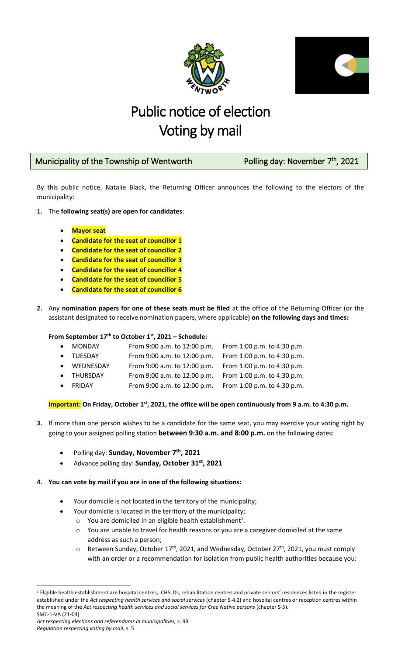



# Public notice of election Voting by mail

## Municipality of the Township of Wentworth **Polling day: November 7<sup>th</sup>**,

### th , 2021

By this public notice, Natalie Black, the Returning Officer announces the following to the electors of the municipality:

- **1.** The **following seat(s) are open for candidates**:
	- **Mayor seat**
	- **Candidate for the seat of councillor 1**
	- **Candidate for the seat of councillor 2**
	- **Candidate for the seat of councillor 3**
	- **Candidate for the seat of councillor 4**
	- **Candidate for the seat of councillor 5**
	- **Candidate for the seat of councillor 6**
- **2.** Any **nomination papers for one of these seats must be filed** at the office of the Returning Officer (or the assistant designated to receive nomination papers, where applicable) **on the following days and times:**

**From September 17th to October 1 st, 2021 – Schedule:**

| <b>MONDAY</b>  | From 9:00 a.m. to 12:00 p.m. | From 1:00 p.m. to 4:30 p.m. |
|----------------|------------------------------|-----------------------------|
| <b>TUESDAY</b> | From 9:00 a.m. to 12:00 p.m. | From 1:00 p.m. to 4:30 p.m. |
| WEDNESDAY      | From 9:00 a.m. to 12:00 p.m. | From 1:00 p.m. to 4:30 p.m. |
| THURSDAY       | From 9:00 a.m. to 12:00 p.m. | From 1:00 p.m. to 4:30 p.m. |
| FRIDAY         | From 9:00 a.m. to 12:00 p.m. | From 1:00 p.m. to 4:30 p.m. |
|                |                              |                             |

#### **Important: On Friday, October 1st, 2021, the office will be open continuously from 9 a.m. to 4:30 p.m.**

- **3.** If more than one person wishes to be a candidate for the same seat, you may exercise your voting right by going to your assigned polling station **between 9:30 a.m. and 8:00 p.m.** on the following dates:
	- Polling day: **Sunday, November 7th, 2021**
	- Advance polling day: **Sunday, October 31st, 2021**
- **4. You can vote by mail if you are in one of the following situations:** 
	- Your domicile is not located in the territory of the municipality;
	- Your domicile is located in the territory of the municipality;
		- $\circ$  You are domiciled in an eligible health establishment<sup>1</sup>.
		- o You are unable to travel for health reasons or you are a caregiver domiciled at the same address as such a person;
		- $\circ$  Between Sunday, October 17<sup>th</sup>, 2021, and Wednesday, October 27<sup>th</sup>, 2021, you must comply with an order or a recommendation for isolation from public health authorities because you:

SMC-1-VA (21-04)  $\overline{\phantom{a}}$ <sup>1</sup> Eligible health establishment are hospital centres, CHSLDs, rehabilitation centres and private seniors' residences listed in the register established under the *Act respecting health services and social services* (chapter S-4.2) and hospital centres or reception centres within the meaning of the Act respecting health services and social services for Cree Native persons (chapter S-5).